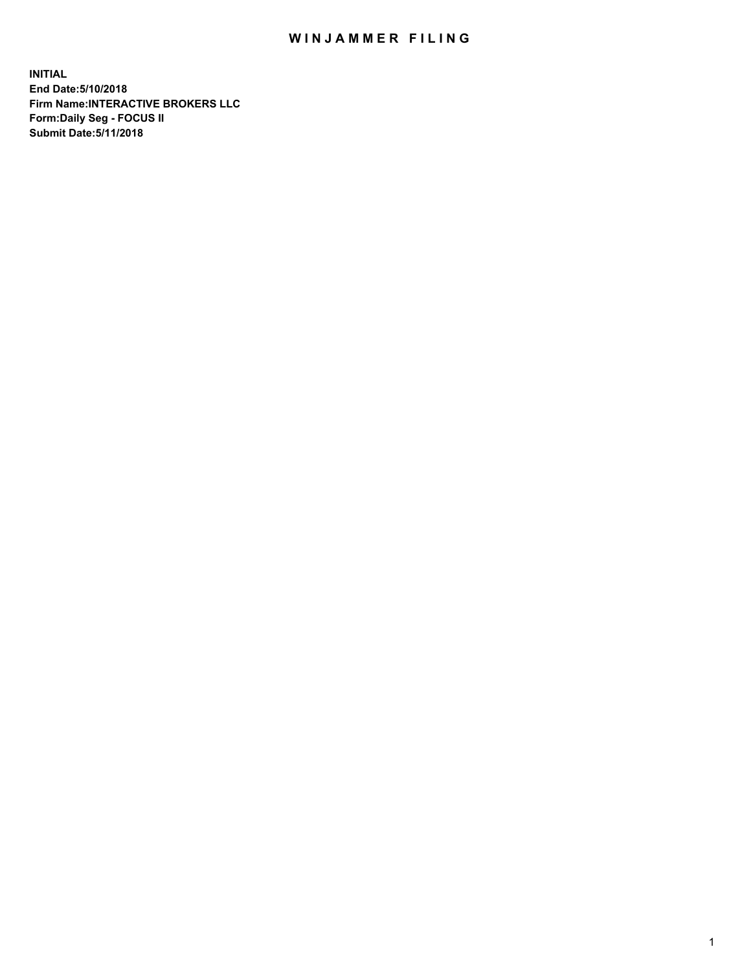## WIN JAMMER FILING

**INITIAL End Date:5/10/2018 Firm Name:INTERACTIVE BROKERS LLC Form:Daily Seg - FOCUS II Submit Date:5/11/2018**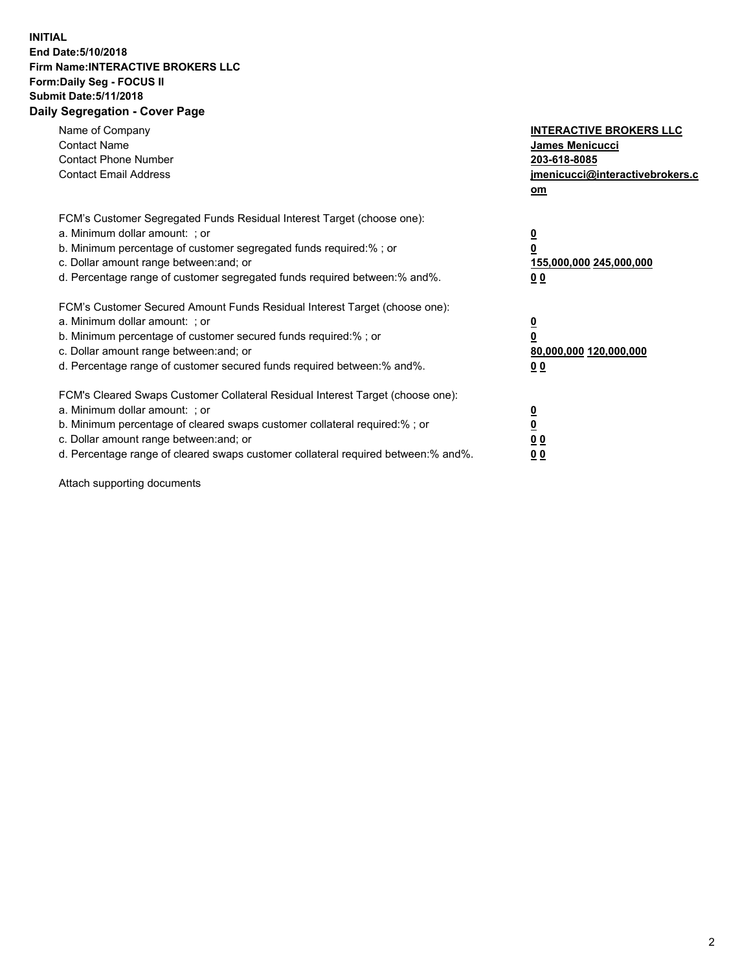## **INITIAL End Date:5/10/2018 Firm Name:INTERACTIVE BROKERS LLC Form:Daily Seg - FOCUS II Submit Date:5/11/2018 Daily Segregation - Cover Page**

| Name of Company<br><b>Contact Name</b><br><b>Contact Phone Number</b><br><b>Contact Email Address</b>                                                                                                                                                                                                                          | <b>INTERACTIVE BROKERS LLC</b><br><b>James Menicucci</b><br>203-618-8085<br>jmenicucci@interactivebrokers.c<br>om |
|--------------------------------------------------------------------------------------------------------------------------------------------------------------------------------------------------------------------------------------------------------------------------------------------------------------------------------|-------------------------------------------------------------------------------------------------------------------|
| FCM's Customer Segregated Funds Residual Interest Target (choose one):<br>a. Minimum dollar amount: ; or<br>b. Minimum percentage of customer segregated funds required:% ; or<br>c. Dollar amount range between: and; or<br>d. Percentage range of customer segregated funds required between: % and %.                       | $\overline{\mathbf{0}}$<br>0<br>155,000,000 245,000,000<br>00                                                     |
| FCM's Customer Secured Amount Funds Residual Interest Target (choose one):<br>a. Minimum dollar amount: ; or<br>b. Minimum percentage of customer secured funds required:%; or<br>c. Dollar amount range between: and; or<br>d. Percentage range of customer secured funds required between: % and %.                          | $\overline{\mathbf{0}}$<br>0<br>80,000,000 120,000,000<br>00                                                      |
| FCM's Cleared Swaps Customer Collateral Residual Interest Target (choose one):<br>a. Minimum dollar amount: ; or<br>b. Minimum percentage of cleared swaps customer collateral required:% ; or<br>c. Dollar amount range between: and; or<br>d. Percentage range of cleared swaps customer collateral required between:% and%. | $\overline{\mathbf{0}}$<br>$\overline{\mathbf{0}}$<br>00<br>0 <sub>0</sub>                                        |

Attach supporting documents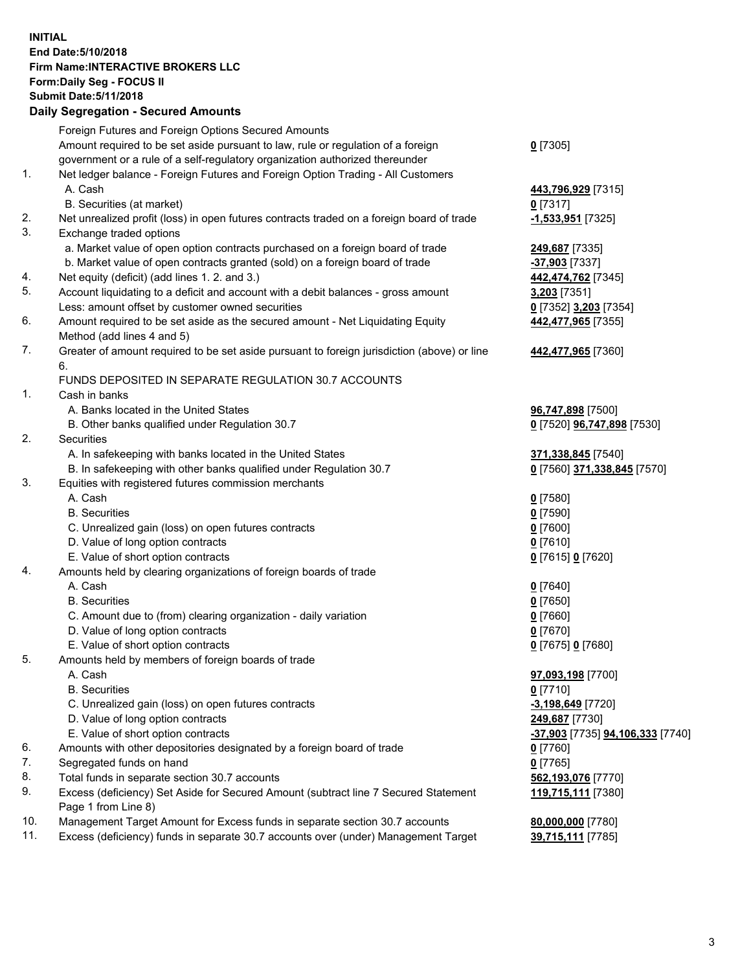## **INITIAL End Date:5/10/2018 Firm Name:INTERACTIVE BROKERS LLC Form:Daily Seg - FOCUS II Submit Date:5/11/2018 Daily Segregation - Secured Amounts**

|                | Daily Jegregation - Jeculed Aniounts                                                                       |                                  |
|----------------|------------------------------------------------------------------------------------------------------------|----------------------------------|
|                | Foreign Futures and Foreign Options Secured Amounts                                                        |                                  |
|                | Amount required to be set aside pursuant to law, rule or regulation of a foreign                           | $0$ [7305]                       |
|                | government or a rule of a self-regulatory organization authorized thereunder                               |                                  |
| 1.             | Net ledger balance - Foreign Futures and Foreign Option Trading - All Customers                            |                                  |
|                | A. Cash                                                                                                    | 443,796,929 [7315]               |
|                | B. Securities (at market)                                                                                  | $0$ [7317]                       |
| 2.             | Net unrealized profit (loss) in open futures contracts traded on a foreign board of trade                  | -1,533,951 [7325]                |
| 3.             | Exchange traded options                                                                                    |                                  |
|                | a. Market value of open option contracts purchased on a foreign board of trade                             | 249,687 [7335]                   |
|                | b. Market value of open contracts granted (sold) on a foreign board of trade                               | $-37,903$ [7337]                 |
| 4.             | Net equity (deficit) (add lines 1.2. and 3.)                                                               | 442,474,762 [7345]               |
| 5.             | Account liquidating to a deficit and account with a debit balances - gross amount                          | 3,203 [7351]                     |
|                | Less: amount offset by customer owned securities                                                           | 0 [7352] 3,203 [7354]            |
| 6.             | Amount required to be set aside as the secured amount - Net Liquidating Equity                             | 442,477,965 [7355]               |
|                | Method (add lines 4 and 5)                                                                                 |                                  |
| 7.             | Greater of amount required to be set aside pursuant to foreign jurisdiction (above) or line                | 442,477,965 [7360]               |
|                | 6.                                                                                                         |                                  |
|                | FUNDS DEPOSITED IN SEPARATE REGULATION 30.7 ACCOUNTS                                                       |                                  |
| $\mathbf{1}$ . | Cash in banks                                                                                              |                                  |
|                | A. Banks located in the United States                                                                      | 96,747,898 [7500]                |
|                | B. Other banks qualified under Regulation 30.7                                                             | 0 [7520] 96,747,898 [7530]       |
| 2.             | Securities                                                                                                 |                                  |
|                | A. In safekeeping with banks located in the United States                                                  | 371,338,845 [7540]               |
|                | B. In safekeeping with other banks qualified under Regulation 30.7                                         | 0 [7560] 371,338,845 [7570]      |
| 3.             | Equities with registered futures commission merchants                                                      |                                  |
|                | A. Cash                                                                                                    | $0$ [7580]                       |
|                | <b>B.</b> Securities                                                                                       | $0$ [7590]                       |
|                | C. Unrealized gain (loss) on open futures contracts                                                        | $0$ [7600]                       |
|                | D. Value of long option contracts                                                                          | $0$ [7610]                       |
|                | E. Value of short option contracts                                                                         | 0 [7615] 0 [7620]                |
| 4.             | Amounts held by clearing organizations of foreign boards of trade                                          |                                  |
|                | A. Cash                                                                                                    | $0$ [7640]                       |
|                | <b>B.</b> Securities                                                                                       | $0$ [7650]                       |
|                | C. Amount due to (from) clearing organization - daily variation                                            | $0$ [7660]                       |
|                | D. Value of long option contracts                                                                          | $0$ [7670]                       |
|                | E. Value of short option contracts                                                                         | 0 [7675] 0 [7680]                |
| 5.             | Amounts held by members of foreign boards of trade                                                         |                                  |
|                | A. Cash                                                                                                    | 97,093,198 [7700]                |
|                | <b>B.</b> Securities                                                                                       | $0$ [7710]                       |
|                | C. Unrealized gain (loss) on open futures contracts                                                        | $-3,198,649$ [7720]              |
|                | D. Value of long option contracts                                                                          | 249,687 [7730]                   |
|                | E. Value of short option contracts                                                                         | -37,903 [7735] 94,106,333 [7740] |
| 6.             | Amounts with other depositories designated by a foreign board of trade                                     | $0$ [7760]                       |
| 7.             | Segregated funds on hand                                                                                   | $0$ [7765]                       |
| 8.             | Total funds in separate section 30.7 accounts                                                              | 562,193,076 [7770]               |
| 9.             | Excess (deficiency) Set Aside for Secured Amount (subtract line 7 Secured Statement<br>Page 1 from Line 8) | 119,715,111 [7380]               |
| 10.            | Management Target Amount for Excess funds in separate section 30.7 accounts                                | 80,000,000 [7780]                |
| 11.            | Excess (deficiency) funds in separate 30.7 accounts over (under) Management Target                         | 39,715,111 [7785]                |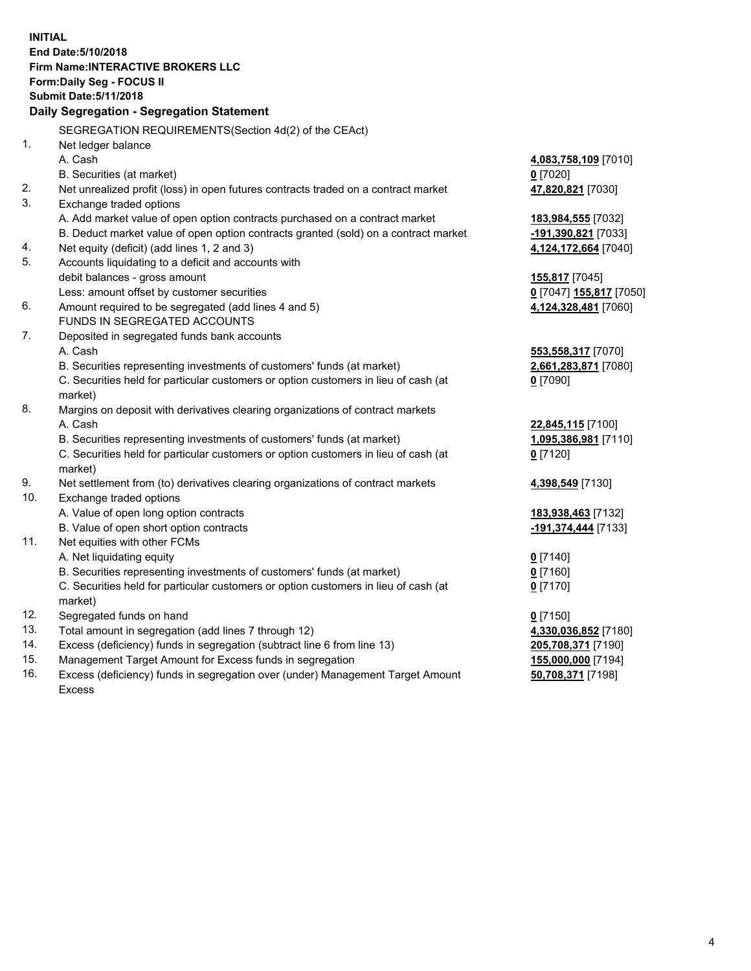**INITIAL End Date:5/10/2018 Firm Name:INTERACTIVE BROKERS LLC Form:Daily Seg - FOCUS II Submit Date:5/11/2018 Daily Segregation - Segregation Statement** SEGREGATION REQUIREMENTS(Section 4d(2) of the CEAct) 1. Net ledger balance A. Cash **4,083,758,109** [7010] B. Securities (at market) **0** [7020] 2. Net unrealized profit (loss) in open futures contracts traded on a contract market **47,820,821** [7030] 3. Exchange traded options A. Add market value of open option contracts purchased on a contract market **183,984,555** [7032] B. Deduct market value of open option contracts granted (sold) on a contract market **-191,390,821** [7033] 4. Net equity (deficit) (add lines 1, 2 and 3) **4,124,172,664** [7040] 5. Accounts liquidating to a deficit and accounts with debit balances - gross amount **155,817** [7045] Less: amount offset by customer securities **0** [7047] **155,817** [7050] 6. Amount required to be segregated (add lines 4 and 5) **4,124,328,481** [7060] FUNDS IN SEGREGATED ACCOUNTS 7. Deposited in segregated funds bank accounts A. Cash **553,558,317** [7070] B. Securities representing investments of customers' funds (at market) **2,661,283,871** [7080] C. Securities held for particular customers or option customers in lieu of cash (at market) **0** [7090] 8. Margins on deposit with derivatives clearing organizations of contract markets A. Cash **22,845,115** [7100] B. Securities representing investments of customers' funds (at market) **1,095,386,981** [7110] C. Securities held for particular customers or option customers in lieu of cash (at market) **0** [7120] 9. Net settlement from (to) derivatives clearing organizations of contract markets **4,398,549** [7130] 10. Exchange traded options A. Value of open long option contracts **183,938,463** [7132] B. Value of open short option contracts **-191,374,444** [7133] 11. Net equities with other FCMs A. Net liquidating equity **0** [7140] B. Securities representing investments of customers' funds (at market) **0** [7160] C. Securities held for particular customers or option customers in lieu of cash (at market) **0** [7170] 12. Segregated funds on hand **0** [7150] 13. Total amount in segregation (add lines 7 through 12) **4,330,036,852** [7180] 14. Excess (deficiency) funds in segregation (subtract line 6 from line 13) **205,708,371** [7190] 15. Management Target Amount for Excess funds in segregation **155,000,000** [7194]

16. Excess (deficiency) funds in segregation over (under) Management Target Amount Excess

**50,708,371** [7198]